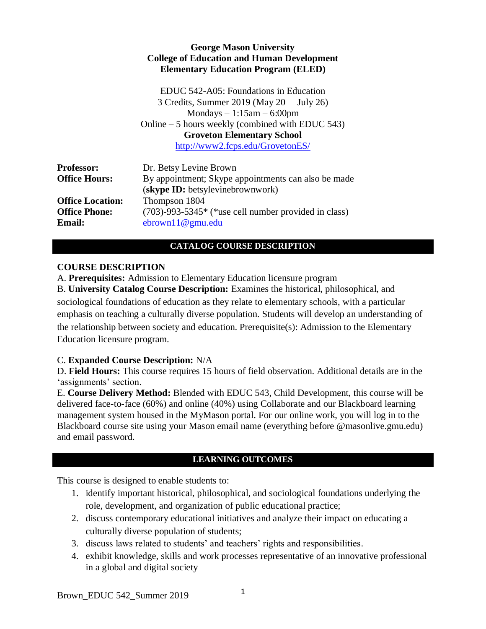|                                                   | <b>George Mason University</b>                                                          |  |  |  |
|---------------------------------------------------|-----------------------------------------------------------------------------------------|--|--|--|
|                                                   | <b>College of Education and Human Development</b>                                       |  |  |  |
|                                                   | <b>Elementary Education Program (ELED)</b>                                              |  |  |  |
|                                                   | EDUC 542-A05: Foundations in Education                                                  |  |  |  |
|                                                   | 3 Credits, Summer 2019 (May $20 - \text{July } 26$ )                                    |  |  |  |
| Mondays $-1:15am - 6:00pm$                        |                                                                                         |  |  |  |
| Online $-5$ hours weekly (combined with EDUC 543) |                                                                                         |  |  |  |
| <b>Groveton Elementary School</b>                 |                                                                                         |  |  |  |
|                                                   | http://www2.fcps.edu/GrovetonES/                                                        |  |  |  |
| <b>Professor:</b>                                 | Dr. Betsy Levine Brown                                                                  |  |  |  |
| <b>Office Hours:</b>                              | By appointment; Skype appointments can also be made<br>(skype ID: betsylevinebrownwork) |  |  |  |
| <b>Office Location:</b>                           | Thompson 1804                                                                           |  |  |  |
| <b>Office Phone:</b>                              | $(703)$ -993-5345 <sup>*</sup> (*use cell number provided in class)                     |  |  |  |
| <b>Email:</b>                                     | $e$ brown $11@$ gmu.edu                                                                 |  |  |  |

#### **CATALOG COURSE DESCRIPTION**

#### **COURSE DESCRIPTION**

A. **Prerequisites:** Admission to Elementary Education licensure program

B. **University Catalog Course Description:** Examines the historical, philosophical, and sociological foundations of education as they relate to elementary schools, with a particular emphasis on teaching a culturally diverse population. Students will develop an understanding of the relationship between society and education. Prerequisite(s): Admission to the Elementary Education licensure program.

#### C. **Expanded Course Description:** N/A

D. **Field Hours:** This course requires 15 hours of field observation. Additional details are in the 'assignments' section.

E. **Course Delivery Method:** Blended with EDUC 543, Child Development, this course will be delivered face-to-face (60%) and online (40%) using Collaborate and our Blackboard learning management system housed in the MyMason portal. For our online work, you will log in to the Blackboard course site using your Mason email name (everything before @masonlive.gmu.edu) and email password.

### **LEARNING OUTCOMES**

This course is designed to enable students to:

- 1. identify important historical, philosophical, and sociological foundations underlying the role, development, and organization of public educational practice;
- 2. discuss contemporary educational initiatives and analyze their impact on educating a culturally diverse population of students;
- 3. discuss laws related to students' and teachers' rights and responsibilities.
- 4. exhibit knowledge, skills and work processes representative of an innovative professional in a global and digital society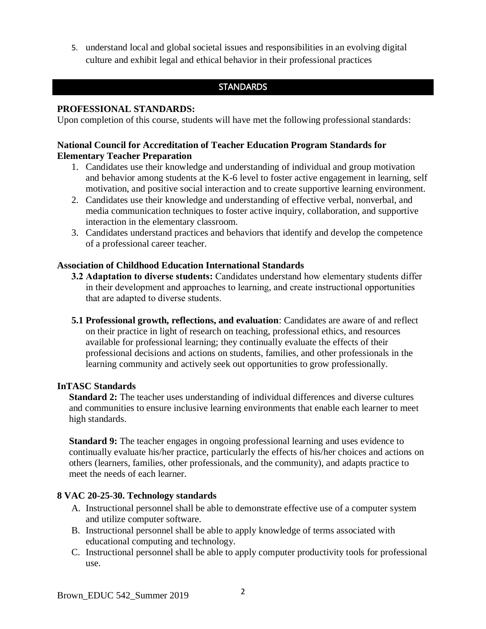5. understand local and global societal issues and responsibilities in an evolving digital culture and exhibit legal and ethical behavior in their professional practices

#### **STANDARDS**

#### **PROFESSIONAL STANDARDS:**

Upon completion of this course, students will have met the following professional standards:

#### **National Council for Accreditation of Teacher Education Program Standards for Elementary Teacher Preparation**

- 1. Candidates use their knowledge and understanding of individual and group motivation and behavior among students at the K-6 level to foster active engagement in learning, self motivation, and positive social interaction and to create supportive learning environment.
- 2. Candidates use their knowledge and understanding of effective verbal, nonverbal, and media communication techniques to foster active inquiry, collaboration, and supportive interaction in the elementary classroom.
- 3. Candidates understand practices and behaviors that identify and develop the competence of a professional career teacher.

#### **Association of Childhood Education International Standards**

- **3.2 Adaptation to diverse students:** Candidates understand how elementary students differ in their development and approaches to learning, and create instructional opportunities that are adapted to diverse students.
- **5.1 Professional growth, reflections, and evaluation**: Candidates are aware of and reflect on their practice in light of research on teaching, professional ethics, and resources available for professional learning; they continually evaluate the effects of their professional decisions and actions on students, families, and other professionals in the learning community and actively seek out opportunities to grow professionally.

#### **InTASC Standards**

**Standard 2:** The teacher uses understanding of individual differences and diverse cultures and communities to ensure inclusive learning environments that enable each learner to meet high standards.

**Standard 9:** The teacher engages in ongoing professional learning and uses evidence to continually evaluate his/her practice, particularly the effects of his/her choices and actions on others (learners, families, other professionals, and the community), and adapts practice to meet the needs of each learner.

### **8 VAC 20-25-30. Technology standards**

- A. Instructional personnel shall be able to demonstrate effective use of a computer system and utilize computer software.
- B. Instructional personnel shall be able to apply knowledge of terms associated with educational computing and technology.
- C. Instructional personnel shall be able to apply computer productivity tools for professional use.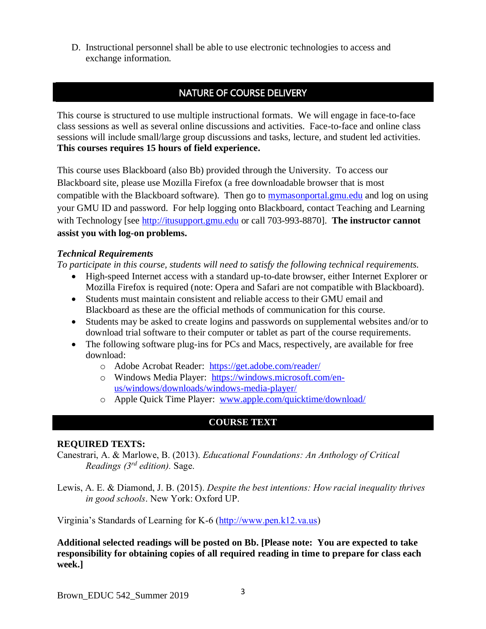D. Instructional personnel shall be able to use electronic technologies to access and exchange information.

# NATURE OF COURSE DELIVERY

This course is structured to use multiple instructional formats. We will engage in face-to-face class sessions as well as several online discussions and activities. Face-to-face and online class sessions will include small/large group discussions and tasks, lecture, and student led activities. **This courses requires 15 hours of field experience.** 

This course uses Blackboard (also Bb) provided through the University. To access our Blackboard site, please use Mozilla Firefox (a free downloadable browser that is most compatible with the Blackboard software). Then go to [mymasonportal.gmu.edu](file:///C:/Users/gmuclass/AppData/Local/Temp/mymasonportal.gmu.edu) and log on using your GMU ID and password. For help logging onto Blackboard, contact Teaching and Learning with Technology [see [http://itusupport.gmu.edu](http://itusupport.gmu.edu/) or call 703-993-8870]. **The instructor cannot assist you with log-on problems.**

#### *Technical Requirements*

*To participate in this course, students will need to satisfy the following technical requirements.* 

- High-speed Internet access with a standard up-to-date browser, either Internet Explorer or Mozilla Firefox is required (note: Opera and Safari are not compatible with Blackboard).
- Students must maintain consistent and reliable access to their GMU email and Blackboard as these are the official methods of communication for this course.
- Students may be asked to create logins and passwords on supplemental websites and/or to download trial software to their computer or tablet as part of the course requirements.
- The following software plug-ins for PCs and Macs, respectively, are available for free download:
	- o Adobe Acrobat Reader: <https://get.adobe.com/reader/>
	- o Windows Media Player: [https://windows.microsoft.com/en](https://windows.microsoft.com/en-us/windows/downloads/windows-media-player/)[us/windows/downloads/windows-media-player/](https://windows.microsoft.com/en-us/windows/downloads/windows-media-player/)
	- o Apple Quick Time Player: [www.apple.com/quicktime/download/](http://www.apple.com/quicktime/download/)

### **COURSE TEXT**

#### **REQUIRED TEXTS:**

Canestrari, A. & Marlowe, B. (2013). *Educational Foundations: An Anthology of Critical Readings (3rd edition).* Sage.

Lewis, A. E. & Diamond, J. B. (2015). *Despite the best intentions: How racial inequality thrives in good schools*. New York: Oxford UP.

Virginia's Standards of Learning for K-6 [\(http://www.pen.k12.va.us\)](http://www.pen.k12.va.us/)

**Additional selected readings will be posted on Bb. [Please note: You are expected to take responsibility for obtaining copies of all required reading in time to prepare for class each week.]**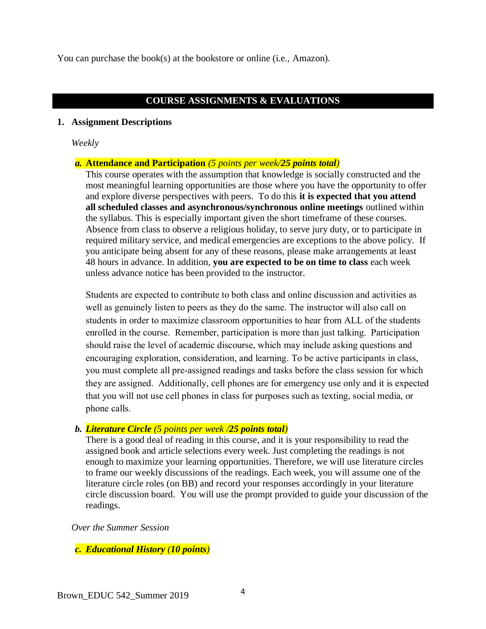You can purchase the book(s) at the bookstore or online (i.e., Amazon).

### **COURSE ASSIGNMENTS & EVALUATIONS**

#### **1. Assignment Descriptions**

*Weekly*

### *a.* **Attendance and Participation** *(5 points per week/25 points total)*

This course operates with the assumption that knowledge is socially constructed and the most meaningful learning opportunities are those where you have the opportunity to offer and explore diverse perspectives with peers. To do this **it is expected that you attend all scheduled classes and asynchronous/synchronous online meetings** outlined within the syllabus. This is especially important given the short timeframe of these courses. Absence from class to observe a religious holiday, to serve jury duty, or to participate in required military service, and medical emergencies are exceptions to the above policy. If you anticipate being absent for any of these reasons, please make arrangements at least 48 hours in advance. In addition, **you are expected to be on time to class** each week unless advance notice has been provided to the instructor.

Students are expected to contribute to both class and online discussion and activities as well as genuinely listen to peers as they do the same. The instructor will also call on students in order to maximize classroom opportunities to hear from ALL of the students enrolled in the course. Remember, participation is more than just talking. Participation should raise the level of academic discourse, which may include asking questions and encouraging exploration, consideration, and learning. To be active participants in class, you must complete all pre-assigned readings and tasks before the class session for which they are assigned. Additionally, cell phones are for emergency use only and it is expected that you will not use cell phones in class for purposes such as texting, social media, or phone calls.

### *b. Literature Circle (5 points per week /25 points total)*

There is a good deal of reading in this course, and it is your responsibility to read the assigned book and article selections every week. Just completing the readings is not enough to maximize your learning opportunities. Therefore, we will use literature circles to frame our weekly discussions of the readings. Each week, you will assume one of the literature circle roles (on BB) and record your responses accordingly in your literature circle discussion board. You will use the prompt provided to guide your discussion of the readings.

*Over the Summer Session*

#### *c. Educational History (10 points)*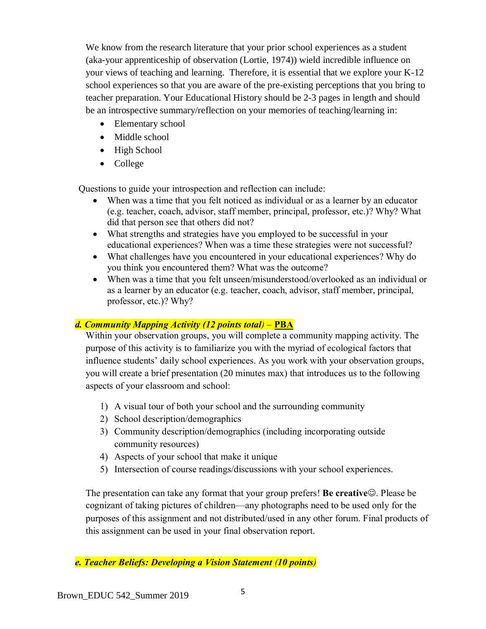We know from the research literature that your prior school experiences as a student (aka-your apprenticeship of observation (Lortie, 1974)) wield incredible influence on your views of teaching and learning. Therefore, it is essential that we explore your K-12 school experiences so that you are aware of the pre-existing perceptions that you bring to teacher preparation. Your Educational History should be 2-3 pages in length and should be an introspective summary/reflection on your memories of teaching/learning in:

- Elementary school
- Middle school
- High School
- College

Questions to guide your introspection and reflection can include:

- When was a time that you felt noticed as individual or as a learner by an educator (e.g. teacher, coach, advisor, staff member, principal, professor, etc.)? Why? What did that person see that others did not?
- What strengths and strategies have you employed to be successful in your educational experiences? When was a time these strategies were not successful?
- What challenges have you encountered in your educational experiences? Why do you think you encountered them? What was the outcome?
- When was a time that you felt unseen/misunderstood/overlooked as an individual or as a learner by an educator (e.g. teacher, coach, advisor, staff member, principal, professor, etc.)? Why?

## *d. Community Mapping Activity (12 points total)* – **PBA**

Within your observation groups, you will complete a community mapping activity. The purpose of this activity is to familiarize you with the myriad of ecological factors that influence students' daily school experiences. As you work with your observation groups, you will create a brief presentation (20 minutes max) that introduces us to the following aspects of your classroom and school:

- 1) A visual tour of both your school and the surrounding community
- 2) School description/demographics
- 3) Community description/demographics (including incorporating outside community resources)
- 4) Aspects of your school that make it unique
- 5) Intersection of course readings/discussions with your school experiences.

The presentation can take any format that your group prefers! **Be creative**☺. Please be cognizant of taking pictures of children—any photographs need to be used only for the purposes of this assignment and not distributed/used in any other forum. Final products of this assignment can be used in your final observation report.

*e. Teacher Beliefs: Developing a Vision Statement (10 points)*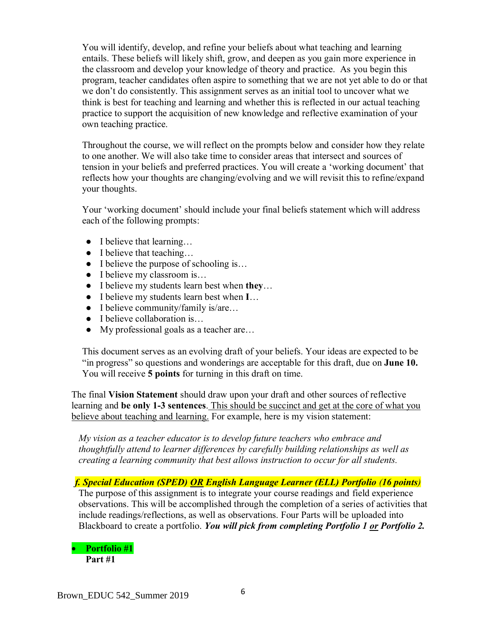You will identify, develop, and refine your beliefs about what teaching and learning entails. These beliefs will likely shift, grow, and deepen as you gain more experience in the classroom and develop your knowledge of theory and practice. As you begin this program, teacher candidates often aspire to something that we are not yet able to do or that we don't do consistently. This assignment serves as an initial tool to uncover what we think is best for teaching and learning and whether this is reflected in our actual teaching practice to support the acquisition of new knowledge and reflective examination of your own teaching practice.

Throughout the course, we will reflect on the prompts below and consider how they relate to one another. We will also take time to consider areas that intersect and sources of tension in your beliefs and preferred practices. You will create a 'working document' that reflects how your thoughts are changing/evolving and we will revisit this to refine/expand your thoughts.

Your 'working document' should include your final beliefs statement which will address each of the following prompts:

- I believe that learning…
- $\bullet$  I believe that teaching...
- I believe the purpose of schooling is...
- I believe my classroom is...
- I believe my students learn best when **they**…
- I believe my students learn best when **I**…
- I believe community/family is/are...
- I believe collaboration is...
- $\bullet$  My professional goals as a teacher are...

This document serves as an evolving draft of your beliefs. Your ideas are expected to be "in progress" so questions and wonderings are acceptable for this draft, due on **June 10.**  You will receive **5 points** for turning in this draft on time.

The final **Vision Statement** should draw upon your draft and other sources of reflective learning and **be only 1-3 sentences**. This should be succinct and get at the core of what you believe about teaching and learning. For example, here is my vision statement:

*My vision as a teacher educator is to develop future teachers who embrace and thoughtfully attend to learner differences by carefully building relationships as well as creating a learning community that best allows instruction to occur for all students.* 

*f. Special Education (SPED) OR English Language Learner (ELL) Portfolio (16 points)* The purpose of this assignment is to integrate your course readings and field experience observations. This will be accomplished through the completion of a series of activities that include readings/reflections, as well as observations. Four Parts will be uploaded into Blackboard to create a portfolio. *You will pick from completing Portfolio 1 or Portfolio 2.*

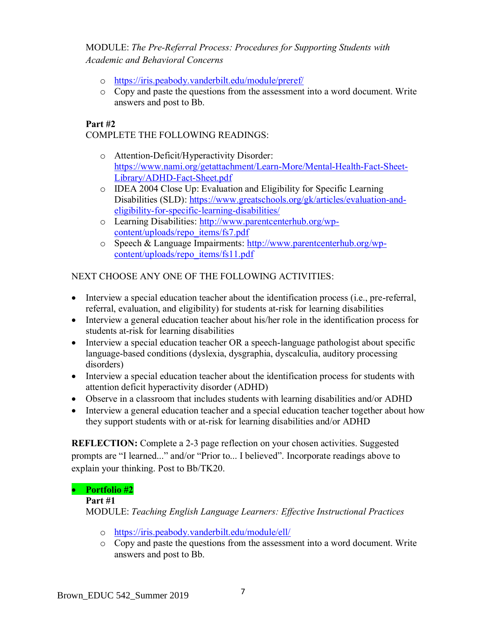## MODULE: *The Pre-Referral Process: Procedures for Supporting Students with Academic and Behavioral Concerns*

- o <https://iris.peabody.vanderbilt.edu/module/preref/>
- o Copy and paste the questions from the assessment into a word document. Write answers and post to Bb.

### **Part #2**

## COMPLETE THE FOLLOWING READINGS:

- o Attention-Deficit/Hyperactivity Disorder: [https://www.nami.org/getattachment/Learn-More/Mental-Health-Fact-Sheet-](https://www.nami.org/getattachment/Learn-More/Mental-Health-Fact-Sheet-Library/ADHD-Fact-Sheet.pdf)[Library/ADHD-Fact-Sheet.pdf](https://www.nami.org/getattachment/Learn-More/Mental-Health-Fact-Sheet-Library/ADHD-Fact-Sheet.pdf)
- o IDEA 2004 Close Up: Evaluation and Eligibility for Specific Learning Disabilities (SLD): [https://www.greatschools.org/gk/articles/evaluation-and](https://www.greatschools.org/gk/articles/evaluation-and-eligibility-for-specific-learning-disabilities/)[eligibility-for-specific-learning-disabilities/](https://www.greatschools.org/gk/articles/evaluation-and-eligibility-for-specific-learning-disabilities/)
- o Learning Disabilities: [http://www.parentcenterhub.org/wp](http://www.parentcenterhub.org/wp-content/uploads/repo_items/fs7.pdf)[content/uploads/repo\\_items/fs7.pdf](http://www.parentcenterhub.org/wp-content/uploads/repo_items/fs7.pdf)
- o Speech & Language Impairments: [http://www.parentcenterhub.org/wp](http://www.parentcenterhub.org/wp-content/uploads/repo_items/fs11.pdf)[content/uploads/repo\\_items/fs11.pdf](http://www.parentcenterhub.org/wp-content/uploads/repo_items/fs11.pdf)

## NEXT CHOOSE ANY ONE OF THE FOLLOWING ACTIVITIES:

- Interview a special education teacher about the identification process (i.e., pre-referral, referral, evaluation, and eligibility) for students at-risk for learning disabilities
- Interview a general education teacher about his/her role in the identification process for students at-risk for learning disabilities
- Interview a special education teacher OR a speech-language pathologist about specific language-based conditions (dyslexia, dysgraphia, dyscalculia, auditory processing disorders)
- Interview a special education teacher about the identification process for students with attention deficit hyperactivity disorder (ADHD)
- Observe in a classroom that includes students with learning disabilities and/or ADHD
- Interview a general education teacher and a special education teacher together about how they support students with or at-risk for learning disabilities and/or ADHD

**REFLECTION:** Complete a 2-3 page reflection on your chosen activities. Suggested prompts are "I learned..." and/or "Prior to... I believed". Incorporate readings above to explain your thinking. Post to Bb/TK20.

## • **Portfolio #2**

### **Part #1**

MODULE: *Teaching English Language Learners: Effective Instructional Practices*

- o <https://iris.peabody.vanderbilt.edu/module/ell/>
- o Copy and paste the questions from the assessment into a word document. Write answers and post to Bb.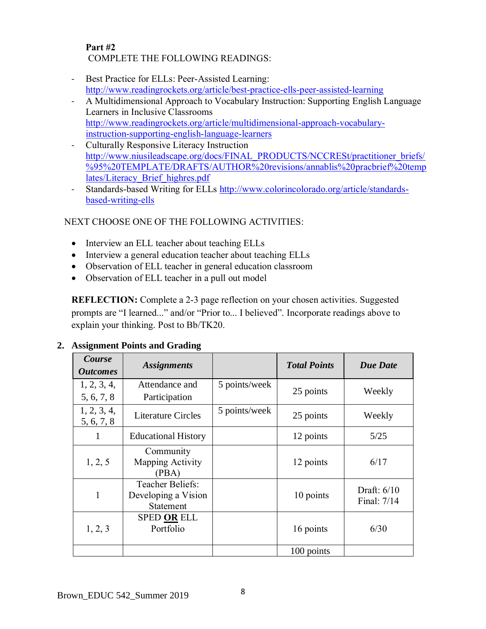#### **Part #2** COMPLETE THE FOLLOWING READINGS:

- Best Practice for ELLs: Peer-Assisted Learning: <http://www.readingrockets.org/article/best-practice-ells-peer-assisted-learning>
- A Multidimensional Approach to Vocabulary Instruction: Supporting English Language Learners in Inclusive Classrooms [http://www.readingrockets.org/article/multidimensional-approach-vocabulary](http://www.readingrockets.org/article/multidimensional-approach-vocabulary-instruction-supporting-english-language-learners)[instruction-supporting-english-language-learners](http://www.readingrockets.org/article/multidimensional-approach-vocabulary-instruction-supporting-english-language-learners)
- Culturally Responsive Literacy Instruction [http://www.niusileadscape.org/docs/FINAL\\_PRODUCTS/NCCRESt/practitioner\\_briefs/](http://www.niusileadscape.org/docs/FINAL_PRODUCTS/NCCRESt/practitioner_briefs/%95%20TEMPLATE/DRAFTS/AUTHOR%20revisions/annablis%20pracbrief%20templates/Literacy_Brief_highres.pdf) [%95%20TEMPLATE/DRAFTS/AUTHOR%20revisions/annablis%20pracbrief%20temp](http://www.niusileadscape.org/docs/FINAL_PRODUCTS/NCCRESt/practitioner_briefs/%95%20TEMPLATE/DRAFTS/AUTHOR%20revisions/annablis%20pracbrief%20templates/Literacy_Brief_highres.pdf) [lates/Literacy\\_Brief\\_highres.pdf](http://www.niusileadscape.org/docs/FINAL_PRODUCTS/NCCRESt/practitioner_briefs/%95%20TEMPLATE/DRAFTS/AUTHOR%20revisions/annablis%20pracbrief%20templates/Literacy_Brief_highres.pdf)
- Standards-based Writing for ELLs [http://www.colorincolorado.org/article/standards](http://www.colorincolorado.org/article/standards-based-writing-ells)[based-writing-ells](http://www.colorincolorado.org/article/standards-based-writing-ells)

## NEXT CHOOSE ONE OF THE FOLLOWING ACTIVITIES:

- Interview an ELL teacher about teaching ELLs
- Interview a general education teacher about teaching ELLs
- Observation of ELL teacher in general education classroom
- Observation of ELL teacher in a pull out model

**REFLECTION:** Complete a 2-3 page reflection on your chosen activities. Suggested prompts are "I learned..." and/or "Prior to... I believed". Incorporate readings above to explain your thinking. Post to Bb/TK20.

| Course<br><b>Outcomes</b> | <b>Assignments</b>                                          |               | <b>Total Points</b> | <b>Due Date</b>              |
|---------------------------|-------------------------------------------------------------|---------------|---------------------|------------------------------|
| 1, 2, 3, 4,               | Attendance and                                              | 5 points/week | 25 points           | Weekly                       |
| 5, 6, 7, 8                | Participation                                               |               |                     |                              |
| 1, 2, 3, 4,<br>5, 6, 7, 8 | <b>Literature Circles</b>                                   | 5 points/week | 25 points           | Weekly                       |
|                           | <b>Educational History</b>                                  |               | 12 points           | 5/25                         |
| 1, 2, 5                   | Community<br><b>Mapping Activity</b><br>(PBA)               |               | 12 points           | 6/17                         |
| 1                         | Teacher Beliefs:<br>Developing a Vision<br><b>Statement</b> |               | 10 points           | Draft: $6/10$<br>Final: 7/14 |
| 1, 2, 3                   | <b>SPED OR ELL</b><br>Portfolio                             |               | 16 points           | 6/30                         |
|                           |                                                             |               | 100 points          |                              |

### **2. Assignment Points and Grading**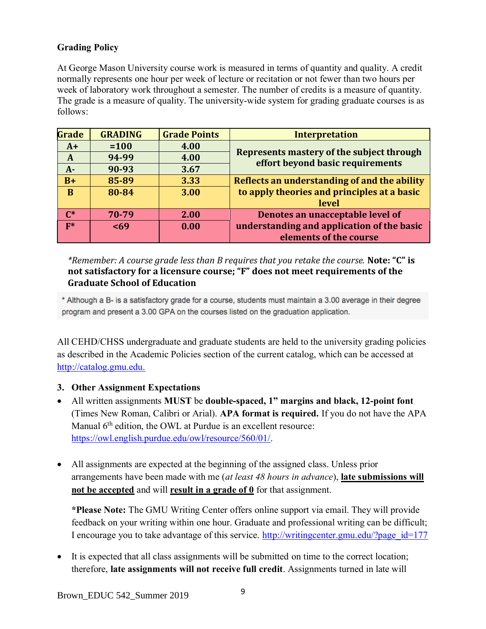## **Grading Policy**

At George Mason University course work is measured in terms of quantity and quality. A credit normally represents one hour per week of lecture or recitation or not fewer than two hours per week of laboratory work throughout a semester. The number of credits is a measure of quantity. The grade is a measure of quality. The university-wide system for grading graduate courses is as follows:

| Grade          | <b>GRADING</b> | <b>Grade Points</b> | <b>Interpretation</b>                                                         |
|----------------|----------------|---------------------|-------------------------------------------------------------------------------|
| $A+$           | $=100$         | 4.00                |                                                                               |
| $\bf{A}$       | 94-99          | 4.00                | Represents mastery of the subject through<br>effort beyond basic requirements |
| $A -$          | 90-93          | 3.67                |                                                                               |
| $B+$           | 85-89          | 3.33                | Reflects an understanding of and the ability                                  |
| B              | 80-84          | 3.00                | to apply theories and principles at a basic                                   |
|                |                |                     | level                                                                         |
| $\mathsf{C}^*$ | 70-79          | 2.00                | Denotes an unacceptable level of                                              |
| $F^*$          | <69            | 0.00                | understanding and application of the basic                                    |
|                |                |                     | elements of the course                                                        |

*\*Remember: A course grade less than B requires that you retake the course.* **Note: "C" is not satisfactory for a licensure course; "F" does not meet requirements of the Graduate School of Education**

\* Although a B- is a satisfactory grade for a course, students must maintain a 3.00 average in their degree program and present a 3.00 GPA on the courses listed on the graduation application.

All CEHD/CHSS undergraduate and graduate students are held to the university grading policies as described in the Academic Policies section of the current catalog, which can be accessed at [http://catalog.gmu.edu.](http://catalog.gmu.edu/)

### **3. Other Assignment Expectations**

- All written assignments **MUST** be **double-spaced, 1" margins and black, 12-point font**  (Times New Roman, Calibri or Arial). **APA format is required.** If you do not have the APA Manual 6<sup>th</sup> edition, the OWL at Purdue is an excellent resource: [https://owl.english.purdue.edu/owl/resource/560/01/.](https://owl.english.purdue.edu/owl/resource/560/01/)
- All assignments are expected at the beginning of the assigned class. Unless prior arrangements have been made with me (*at least 48 hours in advance*), **late submissions will not be accepted** and will **result in a grade of 0** for that assignment.

**\*Please Note:** The GMU Writing Center offers online support via email. They will provide feedback on your writing within one hour. Graduate and professional writing can be difficult; I encourage you to take advantage of this service. [http://writingcenter.gmu.edu/?page\\_id=177](http://writingcenter.gmu.edu/?page_id=177)

• It is expected that all class assignments will be submitted on time to the correct location; therefore, **late assignments will not receive full credit**. Assignments turned in late will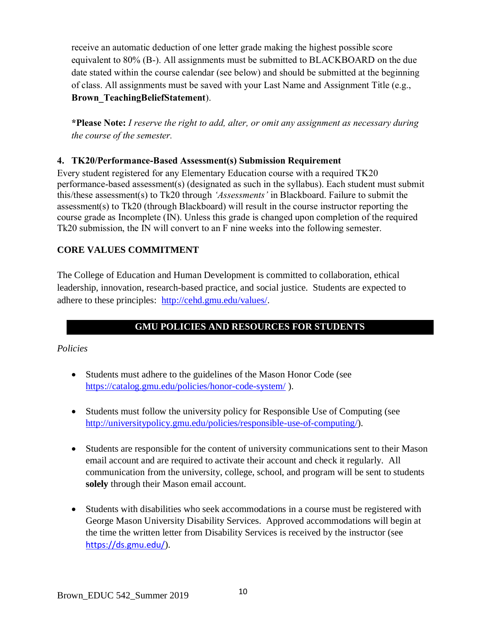receive an automatic deduction of one letter grade making the highest possible score equivalent to 80% (B-). All assignments must be submitted to BLACKBOARD on the due date stated within the course calendar (see below) and should be submitted at the beginning of class. All assignments must be saved with your Last Name and Assignment Title (e.g., **Brown\_TeachingBeliefStatement**).

**\*Please Note:** *I reserve the right to add, alter, or omit any assignment as necessary during the course of the semester.*

## **4. TK20/Performance-Based Assessment(s) Submission Requirement**

Every student registered for any Elementary Education course with a required TK20 performance-based assessment(s) (designated as such in the syllabus). Each student must submit this/these assessment(s) to Tk20 through *'Assessments'* in Blackboard. Failure to submit the assessment(s) to Tk20 (through Blackboard) will result in the course instructor reporting the course grade as Incomplete (IN). Unless this grade is changed upon completion of the required Tk20 submission, the IN will convert to an F nine weeks into the following semester.

## **CORE VALUES COMMITMENT**

The College of Education and Human Development is committed to collaboration, ethical leadership, innovation, research-based practice, and social justice. Students are expected to adhere to these principles: [http://cehd.gmu.edu/values/.](http://cehd.gmu.edu/values/)

# **GMU POLICIES AND RESOURCES FOR STUDENTS**

### *Policies*

- Students must adhere to the guidelines of the Mason Honor Code (see <https://catalog.gmu.edu/policies/honor-code-system/> ).
- Students must follow the university policy for Responsible Use of Computing (see [http://universitypolicy.gmu.edu/policies/responsible-use-of-computing/\)](http://universitypolicy.gmu.edu/policies/responsible-use-of-computing/).
- Students are responsible for the content of university communications sent to their Mason email account and are required to activate their account and check it regularly. All communication from the university, college, school, and program will be sent to students **solely** through their Mason email account.
- Students with disabilities who seek accommodations in a course must be registered with George Mason University Disability Services. Approved accommodations will begin at the time the written letter from Disability Services is received by the instructor (see <https://ds.gmu.edu/>).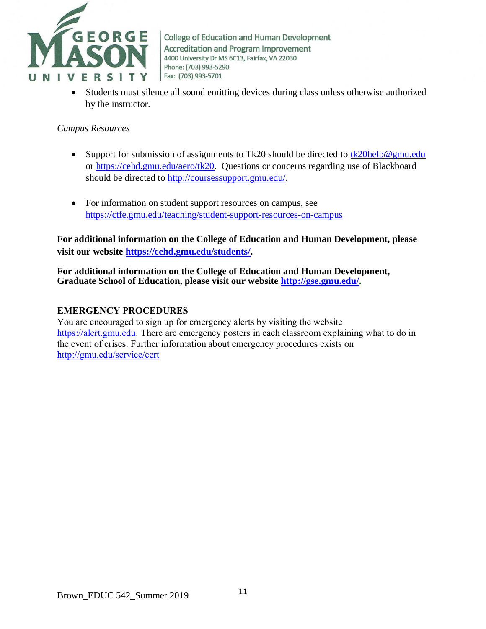

College of Education and Human Development **Accreditation and Program Improvement** 4400 University Dr MS 6C13, Fairfax, VA 22030 Phone: (703) 993-5290 Fax: (703) 993-5701

• Students must silence all sound emitting devices during class unless otherwise authorized by the instructor.

#### *Campus Resources*

- Support for submission of assignments to Tk20 should be directed to  $tk20$ help@gmu.edu or [https://cehd.gmu.edu/aero/tk20.](https://cehd.gmu.edu/aero/tk20) Questions or concerns regarding use of Blackboard should be directed to [http://coursessupport.gmu.edu/.](http://coursessupport.gmu.edu/)
- For information on student support resources on campus, see <https://ctfe.gmu.edu/teaching/student-support-resources-on-campus>

**For additional information on the College of Education and Human Development, please visit our website [https://cehd.gmu.edu/students/.](https://cehd.gmu.edu/students/)**

**For additional information on the College of Education and Human Development, Graduate School of Education, please visit our website [http://gse.gmu.edu/.](http://gse.gmu.edu/)**

#### **EMERGENCY PROCEDURES**

You are encouraged to sign up for emergency alerts by visiting the website [https://alert.gmu.edu.](https://alert.gmu.edu/) There are emergency posters in each classroom explaining what to do in the event of crises. Further information about emergency procedures exists on <http://gmu.edu/service/cert>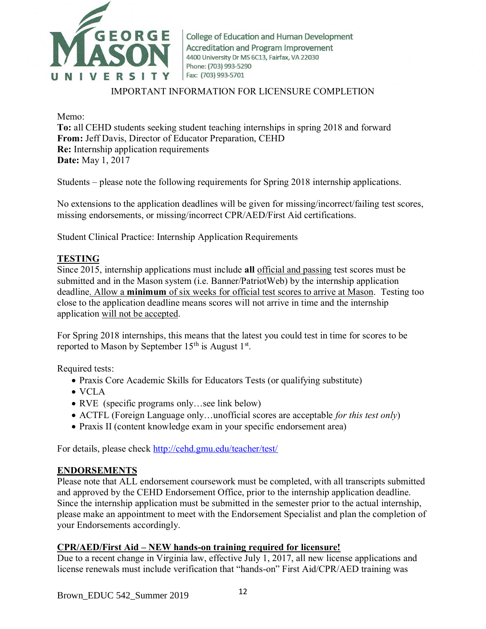

College of Education and Human Development **Accreditation and Program Improvement** 4400 University Dr MS 6C13, Fairfax, VA 22030 Phone: (703) 993-5290 Fax: (703) 993-5701

#### IMPORTANT INFORMATION FOR LICENSURE COMPLETION

Memo:

**To:** all CEHD students seeking student teaching internships in spring 2018 and forward **From:** Jeff Davis, Director of Educator Preparation, CEHD **Re:** Internship application requirements **Date:** May 1, 2017

Students – please note the following requirements for Spring 2018 internship applications.

No extensions to the application deadlines will be given for missing/incorrect/failing test scores, missing endorsements, or missing/incorrect CPR/AED/First Aid certifications.

Student Clinical Practice: Internship Application Requirements

### **TESTING**

Since 2015, internship applications must include **all** official and passing test scores must be submitted and in the Mason system (i.e. Banner/PatriotWeb) by the internship application deadline. Allow a **minimum** of six weeks for official test scores to arrive at Mason. Testing too close to the application deadline means scores will not arrive in time and the internship application will not be accepted.

For Spring 2018 internships, this means that the latest you could test in time for scores to be reported to Mason by September  $15<sup>th</sup>$  is August  $1<sup>st</sup>$ .

Required tests:

- Praxis Core Academic Skills for Educators Tests (or qualifying substitute)
- VCLA
- RVE (specific programs only...see link below)
- ACTFL (Foreign Language only…unofficial scores are acceptable *for this test only*)
- Praxis II (content knowledge exam in your specific endorsement area)

For details, please check<http://cehd.gmu.edu/teacher/test/>

#### **ENDORSEMENTS**

Please note that ALL endorsement coursework must be completed, with all transcripts submitted and approved by the CEHD Endorsement Office, prior to the internship application deadline. Since the internship application must be submitted in the semester prior to the actual internship, please make an appointment to meet with the Endorsement Specialist and plan the completion of your Endorsements accordingly.

#### **CPR/AED/First Aid – NEW hands-on training required for licensure!**

Due to a recent change in Virginia law, effective July 1, 2017, all new license applications and license renewals must include verification that "hands-on" First Aid/CPR/AED training was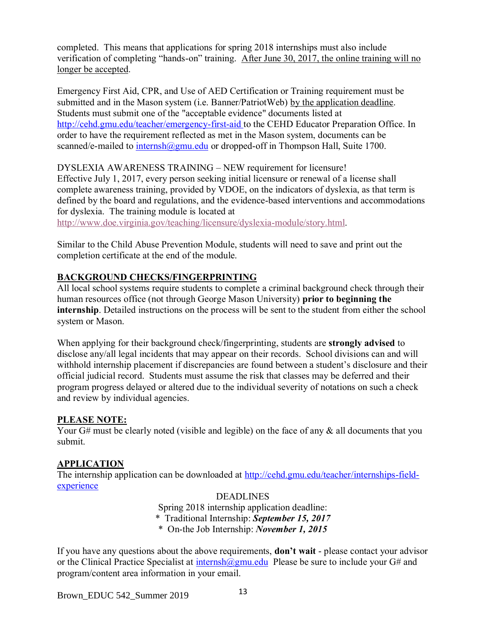completed. This means that applications for spring 2018 internships must also include verification of completing "hands-on" training. After June 30, 2017, the online training will no longer be accepted.

Emergency First Aid, CPR, and Use of AED Certification or Training requirement must be submitted and in the Mason system (i.e. Banner/PatriotWeb) by the application deadline. Students must submit one of the "acceptable evidence" documents listed at <http://cehd.gmu.edu/teacher/emergency-first-aid> to the CEHD Educator Preparation Office. In order to have the requirement reflected as met in the Mason system, documents can be scanned/e-mailed to [internsh@gmu.edu](mailto:internsh@gmu.edu) or dropped-off in Thompson Hall, Suite 1700.

DYSLEXIA AWARENESS TRAINING – NEW requirement for licensure! Effective July 1, 2017, every person seeking initial licensure or renewal of a license shall complete awareness training, provided by VDOE, on the indicators of dyslexia, as that term is defined by the board and regulations, and the evidence-based interventions and accommodations for dyslexia. The training module is located at

[http://www.doe.virginia.gov/teaching/licensure/dyslexia-module/story.html.](http://www.doe.virginia.gov/teaching/licensure/dyslexia-module/story.html)

Similar to the Child Abuse Prevention Module, students will need to save and print out the completion certificate at the end of the module.

## **BACKGROUND CHECKS/FINGERPRINTING**

All local school systems require students to complete a criminal background check through their human resources office (not through George Mason University) **prior to beginning the internship**. Detailed instructions on the process will be sent to the student from either the school system or Mason.

When applying for their background check/fingerprinting, students are **strongly advised** to disclose any/all legal incidents that may appear on their records. School divisions can and will withhold internship placement if discrepancies are found between a student's disclosure and their official judicial record. Students must assume the risk that classes may be deferred and their program progress delayed or altered due to the individual severity of notations on such a check and review by individual agencies.

## **PLEASE NOTE:**

Your G# must be clearly noted (visible and legible) on the face of any & all documents that you submit.

# **APPLICATION**

The internship application can be downloaded at [http://cehd.gmu.edu/teacher/internships-field](http://cehd.gmu.edu/teacher/internships-field-experience)[experience](http://cehd.gmu.edu/teacher/internships-field-experience)

### DEADLINES

Spring 2018 internship application deadline:

\* Traditional Internship: *September 15, 2017*

\* On-the Job Internship: *November 1, 2015*

If you have any questions about the above requirements, **don't wait** - please contact your advisor or the Clinical Practice Specialist at [internsh@gmu.edu](mailto:internsh@gmu.edu) Please be sure to include your G# and program/content area information in your email.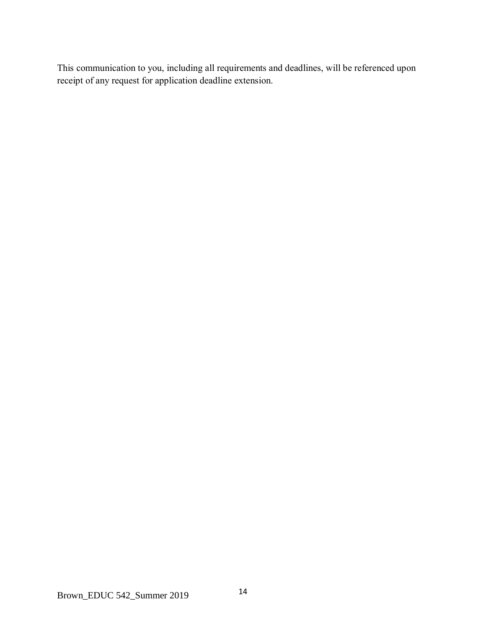This communication to you, including all requirements and deadlines, will be referenced upon receipt of any request for application deadline extension.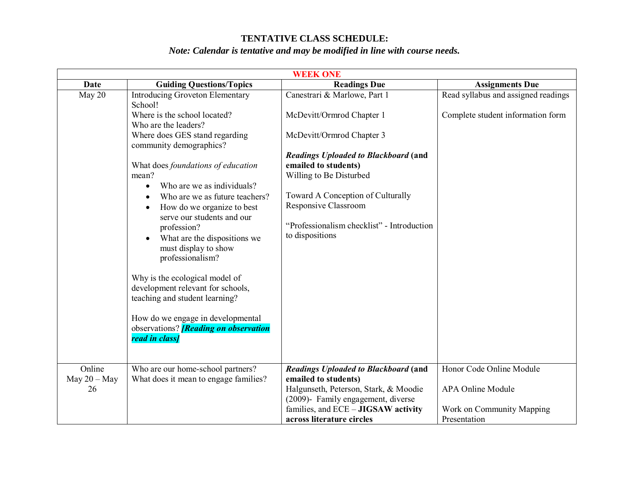## **TENTATIVE CLASS SCHEDULE:**

## *Note: Calendar is tentative and may be modified in line with course needs.*

| <b>WEEK ONE</b>                |                                                                                                                                                                                                                                                                    |                                                                                                                                                                                                                              |                                                                                                   |  |
|--------------------------------|--------------------------------------------------------------------------------------------------------------------------------------------------------------------------------------------------------------------------------------------------------------------|------------------------------------------------------------------------------------------------------------------------------------------------------------------------------------------------------------------------------|---------------------------------------------------------------------------------------------------|--|
| Date                           | <b>Guiding Questions/Topics</b>                                                                                                                                                                                                                                    | <b>Readings Due</b>                                                                                                                                                                                                          | <b>Assignments Due</b>                                                                            |  |
| May 20                         | <b>Introducing Groveton Elementary</b><br>School!                                                                                                                                                                                                                  | Canestrari & Marlowe, Part 1                                                                                                                                                                                                 | Read syllabus and assigned readings                                                               |  |
|                                | Where is the school located?<br>Who are the leaders?                                                                                                                                                                                                               | McDevitt/Ormrod Chapter 1                                                                                                                                                                                                    | Complete student information form                                                                 |  |
|                                | Where does GES stand regarding<br>community demographics?                                                                                                                                                                                                          | McDevitt/Ormrod Chapter 3                                                                                                                                                                                                    |                                                                                                   |  |
|                                | What does foundations of education<br>mean?<br>Who are we as individuals?<br>Who are we as future teachers?<br>How do we organize to best<br>serve our students and our<br>profession?<br>What are the dispositions we<br>must display to show<br>professionalism? | <b>Readings Uploaded to Blackboard (and</b><br>emailed to students)<br>Willing to Be Disturbed<br>Toward A Conception of Culturally<br>Responsive Classroom<br>"Professionalism checklist" - Introduction<br>to dispositions |                                                                                                   |  |
|                                | Why is the ecological model of<br>development relevant for schools,<br>teaching and student learning?<br>How do we engage in developmental<br>observations? <b>[Reading on observation</b><br>read in class]                                                       |                                                                                                                                                                                                                              |                                                                                                   |  |
| Online<br>May $20 -$ May<br>26 | Who are our home-school partners?<br>What does it mean to engage families?                                                                                                                                                                                         | <b>Readings Uploaded to Blackboard (and</b><br>emailed to students)<br>Halgunseth, Peterson, Stark, & Moodie<br>(2009)- Family engagement, diverse<br>families, and ECE - JIGSAW activity<br>across literature circles       | Honor Code Online Module<br><b>APA Online Module</b><br>Work on Community Mapping<br>Presentation |  |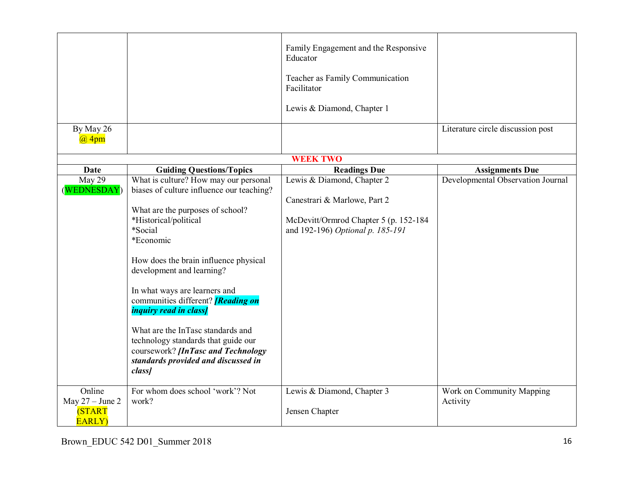|                                                               |                                                                                                                                                                                                                                                                                                                                                                                                                                             | Family Engagement and the Responsive<br>Educator<br>Teacher as Family Communication |                                       |
|---------------------------------------------------------------|---------------------------------------------------------------------------------------------------------------------------------------------------------------------------------------------------------------------------------------------------------------------------------------------------------------------------------------------------------------------------------------------------------------------------------------------|-------------------------------------------------------------------------------------|---------------------------------------|
|                                                               |                                                                                                                                                                                                                                                                                                                                                                                                                                             | Facilitator                                                                         |                                       |
|                                                               |                                                                                                                                                                                                                                                                                                                                                                                                                                             | Lewis & Diamond, Chapter 1                                                          |                                       |
| By May 26<br>$\omega$ 4pm                                     |                                                                                                                                                                                                                                                                                                                                                                                                                                             |                                                                                     | Literature circle discussion post     |
|                                                               |                                                                                                                                                                                                                                                                                                                                                                                                                                             | <b>WEEK TWO</b>                                                                     |                                       |
| Date                                                          | <b>Guiding Questions/Topics</b>                                                                                                                                                                                                                                                                                                                                                                                                             | <b>Readings Due</b>                                                                 | <b>Assignments Due</b>                |
| May 29<br>(WEDNESDAY)                                         | What is culture? How may our personal<br>biases of culture influence our teaching?                                                                                                                                                                                                                                                                                                                                                          | Lewis & Diamond, Chapter 2<br>Canestrari & Marlowe, Part 2                          | Developmental Observation Journal     |
|                                                               | What are the purposes of school?<br>*Historical/political<br>*Social<br>*Economic<br>How does the brain influence physical<br>development and learning?<br>In what ways are learners and<br>communities different? <b>[Reading on</b> ]<br><i>inquiry read in class]</i><br>What are the InTasc standards and<br>technology standards that guide our<br>coursework? [InTasc and Technology<br>standards provided and discussed in<br>class] | McDevitt/Ormrod Chapter 5 (p. 152-184<br>and 192-196) Optional p. 185-191           |                                       |
| Online<br>May $27 -$ June 2<br><b>(START</b><br><b>EARLY)</b> | For whom does school 'work'? Not<br>work?                                                                                                                                                                                                                                                                                                                                                                                                   | Lewis & Diamond, Chapter 3<br>Jensen Chapter                                        | Work on Community Mapping<br>Activity |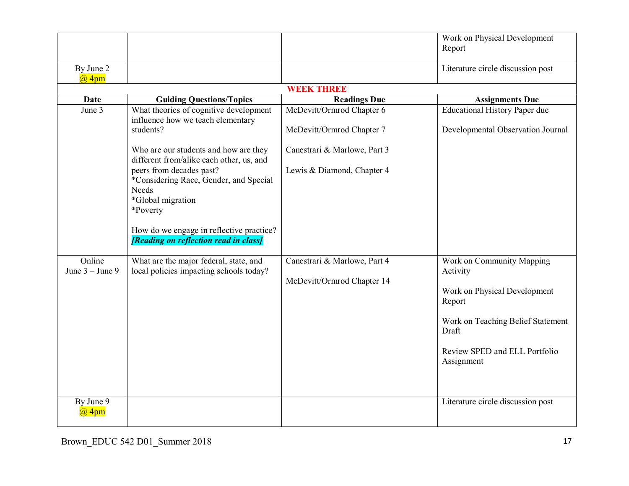|                                          |                                                                                                                                                                                                                                                      |                                                            | Work on Physical Development<br>Report                                                                                                                                                                            |
|------------------------------------------|------------------------------------------------------------------------------------------------------------------------------------------------------------------------------------------------------------------------------------------------------|------------------------------------------------------------|-------------------------------------------------------------------------------------------------------------------------------------------------------------------------------------------------------------------|
| By June $2$<br>$\omega$ 4pm              |                                                                                                                                                                                                                                                      |                                                            | Literature circle discussion post                                                                                                                                                                                 |
|                                          |                                                                                                                                                                                                                                                      | <b>WEEK THREE</b>                                          |                                                                                                                                                                                                                   |
| <b>Date</b>                              | <b>Guiding Questions/Topics</b>                                                                                                                                                                                                                      | <b>Readings Due</b>                                        | <b>Assignments Due</b>                                                                                                                                                                                            |
| June 3                                   | What theories of cognitive development<br>influence how we teach elementary<br>students?                                                                                                                                                             | McDevitt/Ormrod Chapter 6<br>McDevitt/Ormrod Chapter 7     | <b>Educational History Paper due</b><br>Developmental Observation Journal                                                                                                                                         |
|                                          | Who are our students and how are they<br>different from/alike each other, us, and<br>peers from decades past?<br>*Considering Race, Gender, and Special<br><b>Needs</b><br>*Global migration<br>*Poverty<br>How do we engage in reflective practice? | Canestrari & Marlowe, Part 3<br>Lewis & Diamond, Chapter 4 |                                                                                                                                                                                                                   |
| Online<br>June $3 -$ June 9<br>By June 9 | [Reading on reflection read in class]<br>What are the major federal, state, and<br>local policies impacting schools today?                                                                                                                           | Canestrari & Marlowe, Part 4<br>McDevitt/Ormrod Chapter 14 | Work on Community Mapping<br>Activity<br>Work on Physical Development<br>Report<br>Work on Teaching Belief Statement<br>Draft<br>Review SPED and ELL Portfolio<br>Assignment<br>Literature circle discussion post |
| $\omega$ 4pm                             |                                                                                                                                                                                                                                                      |                                                            |                                                                                                                                                                                                                   |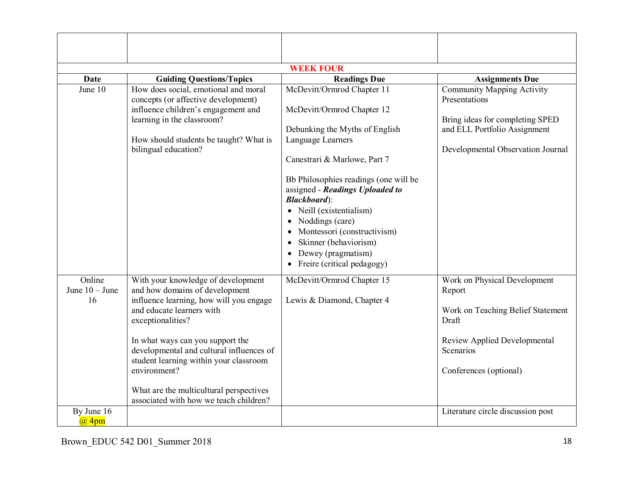| <b>WEEK FOUR</b>                 |                                                                                                                                                                                                                                                                                                                                                                                                  |                                                                                                                                                                                                                                                                                                                                                                                                                          |                                                                                                                                                                    |  |
|----------------------------------|--------------------------------------------------------------------------------------------------------------------------------------------------------------------------------------------------------------------------------------------------------------------------------------------------------------------------------------------------------------------------------------------------|--------------------------------------------------------------------------------------------------------------------------------------------------------------------------------------------------------------------------------------------------------------------------------------------------------------------------------------------------------------------------------------------------------------------------|--------------------------------------------------------------------------------------------------------------------------------------------------------------------|--|
| <b>Date</b>                      | <b>Guiding Questions/Topics</b>                                                                                                                                                                                                                                                                                                                                                                  | <b>Readings Due</b>                                                                                                                                                                                                                                                                                                                                                                                                      | <b>Assignments Due</b>                                                                                                                                             |  |
| June $1\overline{0}$             | How does social, emotional and moral<br>concepts (or affective development)<br>influence children's engagement and<br>learning in the classroom?<br>How should students be taught? What is<br>bilingual education?                                                                                                                                                                               | McDevitt/Ormrod Chapter 11<br>McDevitt/Ormrod Chapter 12<br>Debunking the Myths of English<br>Language Learners<br>Canestrari & Marlowe, Part 7<br>Bb Philosophies readings (one will be<br>assigned - Readings Uploaded to<br><b>Blackboard</b> ):<br>• Neill (existentialism)<br>$\bullet$ Noddings (care)<br>Montessori (constructivism)<br>Skinner (behaviorism)<br>Dewey (pragmatism)<br>Freire (critical pedagogy) | Community Mapping Activity<br>Presentations<br>Bring ideas for completing SPED<br>and ELL Portfolio Assignment<br>Developmental Observation Journal                |  |
| Online<br>June $10 -$ June<br>16 | With your knowledge of development<br>and how domains of development<br>influence learning, how will you engage<br>and educate learners with<br>exceptionalities?<br>In what ways can you support the<br>developmental and cultural influences of<br>student learning within your classroom<br>environment?<br>What are the multicultural perspectives<br>associated with how we teach children? | McDevitt/Ormrod Chapter 15<br>Lewis & Diamond, Chapter 4                                                                                                                                                                                                                                                                                                                                                                 | Work on Physical Development<br>Report<br>Work on Teaching Belief Statement<br>Draft<br><b>Review Applied Developmental</b><br>Scenarios<br>Conferences (optional) |  |
| By June 16<br>$\omega$ 4pm       |                                                                                                                                                                                                                                                                                                                                                                                                  |                                                                                                                                                                                                                                                                                                                                                                                                                          | Literature circle discussion post                                                                                                                                  |  |